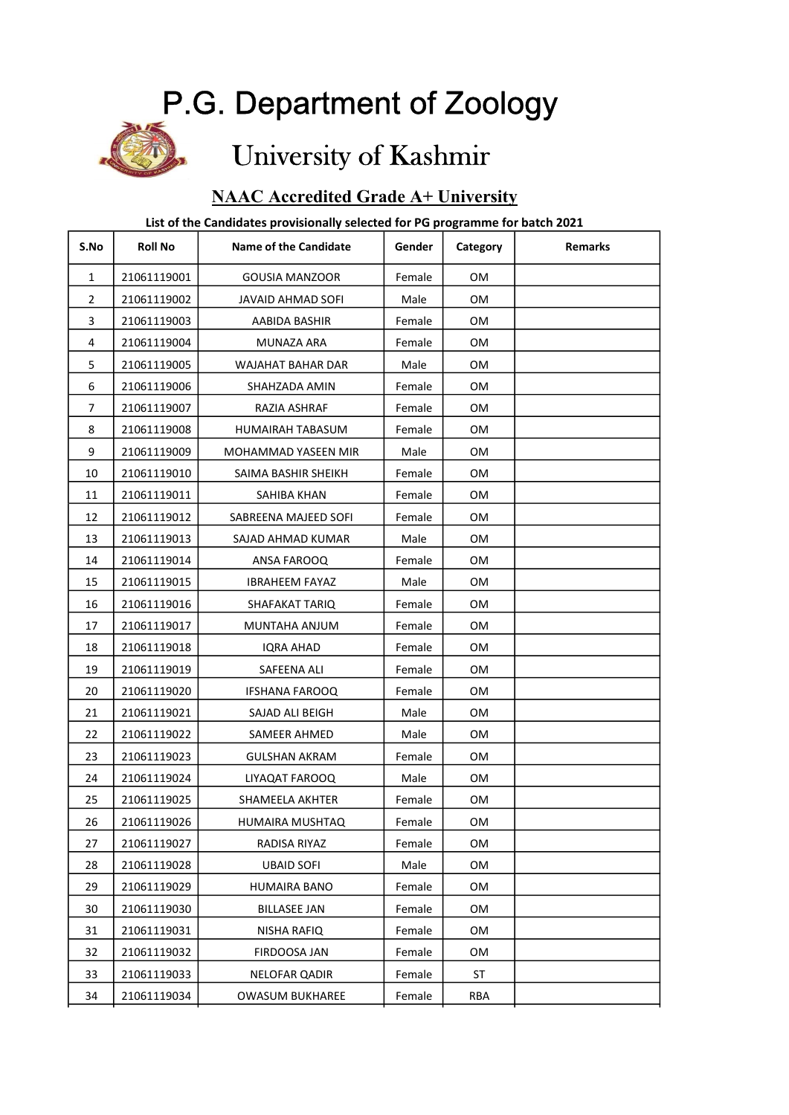## P.G. Department of Zoology

# University of Kashmir

### NAAC Accredited Grade A+ University

#### List of the Candidates provisionally selected for PG programme for batch 2021

| S.No         | <b>Roll No</b> | <b>Name of the Candidate</b> | Gender | Category   | <b>Remarks</b> |
|--------------|----------------|------------------------------|--------|------------|----------------|
| $\mathbf{1}$ | 21061119001    | <b>GOUSIA MANZOOR</b>        | Female | <b>OM</b>  |                |
| 2            | 21061119002    | JAVAID AHMAD SOFI            | Male   | 0M         |                |
| 3            | 21061119003    | AABIDA BASHIR                | Female | OМ         |                |
| 4            | 21061119004    | MUNAZA ARA                   | Female | OМ         |                |
| 5            | 21061119005    | WAJAHAT BAHAR DAR            | Male   | <b>OM</b>  |                |
| 6            | 21061119006    | SHAHZADA AMIN                | Female | OМ         |                |
| 7            | 21061119007    | RAZIA ASHRAF                 | Female | OM         |                |
| 8            | 21061119008    | HUMAIRAH TABASUM             | Female | OМ         |                |
| 9            | 21061119009    | MOHAMMAD YASEEN MIR          | Male   | OМ         |                |
| 10           | 21061119010    | SAIMA BASHIR SHEIKH          | Female | OМ         |                |
| 11           | 21061119011    | SAHIBA KHAN                  | Female | OМ         |                |
| 12           | 21061119012    | SABREENA MAJEED SOFI         | Female | OМ         |                |
| 13           | 21061119013    | SAJAD AHMAD KUMAR            | Male   | 0M         |                |
| 14           | 21061119014    | ANSA FAROOQ                  | Female | OМ         |                |
| 15           | 21061119015    | <b>IBRAHEEM FAYAZ</b>        | Male   | OМ         |                |
| 16           | 21061119016    | SHAFAKAT TARIQ               | Female | OМ         |                |
| 17           | 21061119017    | MUNTAHA ANJUM                | Female | OМ         |                |
| 18           | 21061119018    | IQRA AHAD                    | Female | OМ         |                |
| 19           | 21061119019    | SAFEENA ALI                  | Female | OМ         |                |
| 20           | 21061119020    | <b>IFSHANA FAROOQ</b>        | Female | <b>OM</b>  |                |
| 21           | 21061119021    | SAJAD ALI BEIGH              | Male   | OМ         |                |
| 22           | 21061119022    | SAMEER AHMED                 | Male   | OМ         |                |
| 23           | 21061119023    | <b>GULSHAN AKRAM</b>         | Female | OМ         |                |
| 24           | 21061119024    | LIYAQAT FAROOQ               | Male   | <b>OM</b>  |                |
| 25           | 21061119025    | <b>SHAMEELA AKHTER</b>       | Female | OМ         |                |
| 26           | 21061119026    | HUMAIRA MUSHTAQ              | Female | OM         |                |
| 27           | 21061119027    | RADISA RIYAZ                 | Female | OМ         |                |
| 28           | 21061119028    | <b>UBAID SOFI</b>            | Male   | OM         |                |
| 29           | 21061119029    | HUMAIRA BANO                 | Female | OM         |                |
| 30           | 21061119030    | <b>BILLASEE JAN</b>          | Female | OM         |                |
| 31           | 21061119031    | NISHA RAFIQ                  | Female | OМ         |                |
| 32           | 21061119032    | FIRDOOSA JAN                 | Female | OM         |                |
| 33           | 21061119033    | <b>NELOFAR QADIR</b>         | Female | ST         |                |
| 34           | 21061119034    | <b>OWASUM BUKHAREE</b>       | Female | <b>RBA</b> |                |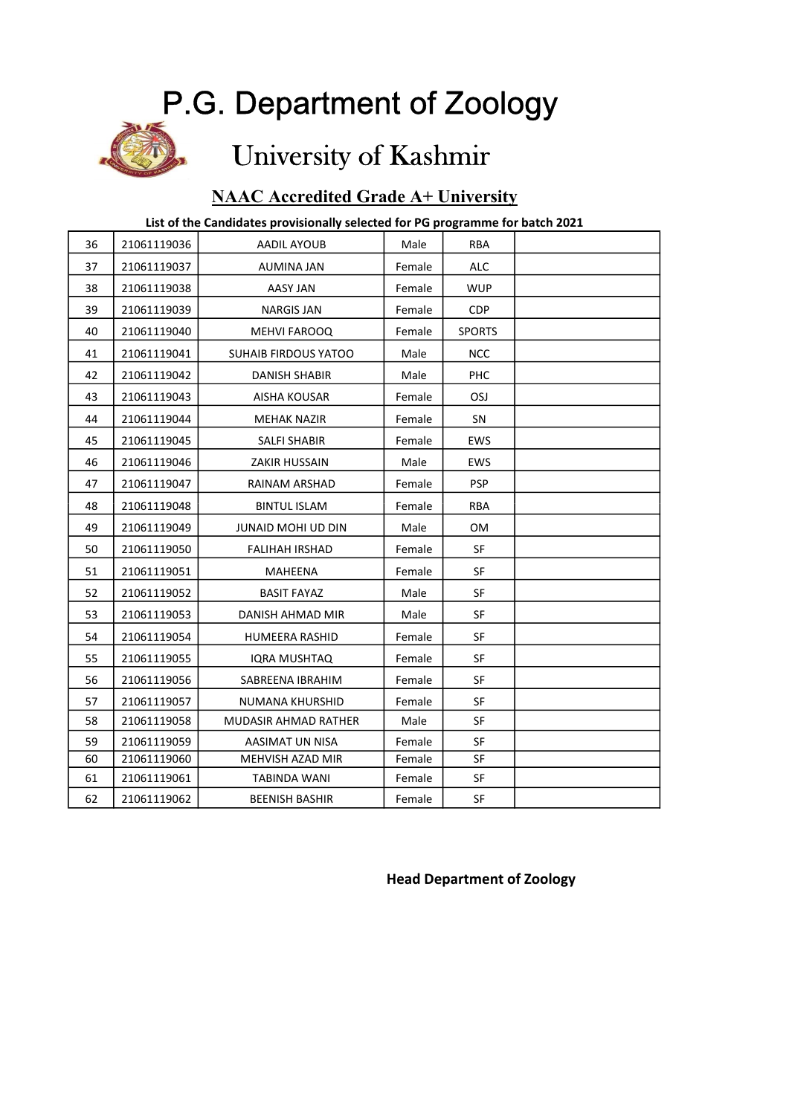## P.G. Department of Zoology

# University of Kashmir

### NAAC Accredited Grade A+ University

#### List of the Candidates provisionally selected for PG programme for batch 2021

| 36 | 21061119036 | AADIL AYOUB                 | Male   | <b>RBA</b>    |  |
|----|-------------|-----------------------------|--------|---------------|--|
| 37 | 21061119037 | AUMINA JAN                  | Female | <b>ALC</b>    |  |
| 38 | 21061119038 | AASY JAN                    | Female | <b>WUP</b>    |  |
| 39 | 21061119039 | <b>NARGIS JAN</b>           | Female | CDP           |  |
| 40 | 21061119040 | MEHVI FAROOQ                | Female | <b>SPORTS</b> |  |
| 41 | 21061119041 | <b>SUHAIB FIRDOUS YATOO</b> | Male   | <b>NCC</b>    |  |
| 42 | 21061119042 | <b>DANISH SHABIR</b>        | Male   | <b>PHC</b>    |  |
| 43 | 21061119043 | AISHA KOUSAR                | Female | <b>OSJ</b>    |  |
| 44 | 21061119044 | <b>MEHAK NAZIR</b>          | Female | <b>SN</b>     |  |
| 45 | 21061119045 | SALFI SHABIR                | Female | EWS           |  |
| 46 | 21061119046 | ZAKIR HUSSAIN               | Male   | <b>EWS</b>    |  |
| 47 | 21061119047 | RAINAM ARSHAD               | Female | <b>PSP</b>    |  |
| 48 | 21061119048 | <b>BINTUL ISLAM</b>         | Female | <b>RBA</b>    |  |
| 49 | 21061119049 | JUNAID MOHI UD DIN          | Male   | 0M            |  |
| 50 | 21061119050 | <b>FALIHAH IRSHAD</b>       | Female | <b>SF</b>     |  |
| 51 | 21061119051 | MAHEENA                     | Female | <b>SF</b>     |  |
| 52 | 21061119052 | <b>BASIT FAYAZ</b>          | Male   | <b>SF</b>     |  |
| 53 | 21061119053 | DANISH AHMAD MIR            | Male   | SF            |  |
| 54 | 21061119054 | <b>HUMEERA RASHID</b>       | Female | <b>SF</b>     |  |
| 55 | 21061119055 | IQRA MUSHTAQ                | Female | SF            |  |
| 56 | 21061119056 | SABREENA IBRAHIM            | Female | <b>SF</b>     |  |
| 57 | 21061119057 | NUMANA KHURSHID             | Female | <b>SF</b>     |  |
| 58 | 21061119058 | MUDASIR AHMAD RATHER        | Male   | <b>SF</b>     |  |
| 59 | 21061119059 | AASIMAT UN NISA             | Female | <b>SF</b>     |  |
| 60 | 21061119060 | MEHVISH AZAD MIR            | Female | SF            |  |
| 61 | 21061119061 | <b>TABINDA WANI</b>         | Female | SF            |  |
| 62 | 21061119062 | <b>BEENISH BASHIR</b>       | Female | SF            |  |

Head Department of Zoology